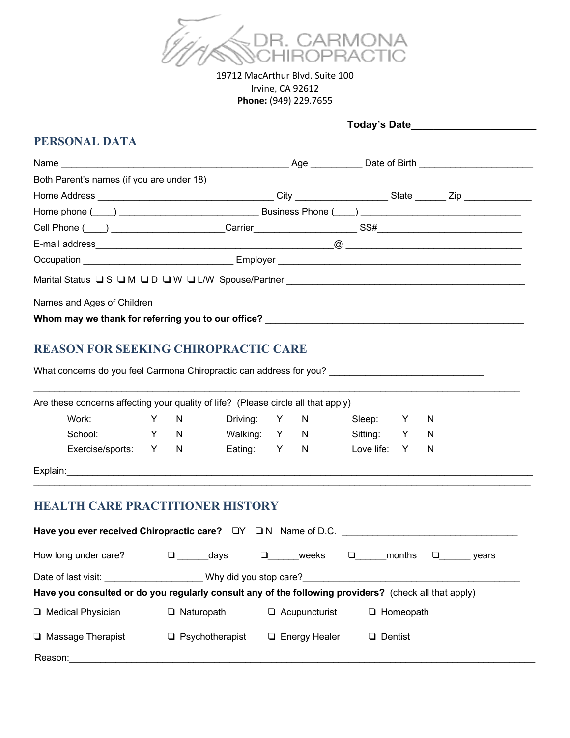

19712 MacArthur Blvd. Suite 100 Irvine, CA 92612 **Phone:** (949) 229.7655

| <b>Today's Date</b> |  |  |
|---------------------|--|--|
|                     |  |  |

# **PERSONAL DATA**

| Both Parent's names (if you are under 18) [19] [19] Doth Parent's names (if you are under 18) |  |  |
|-----------------------------------------------------------------------------------------------|--|--|
|                                                                                               |  |  |
| Home phone $(\_\_\_\_)$                                                                       |  |  |
|                                                                                               |  |  |
|                                                                                               |  |  |
| Occupation ________________________________Employer ____________________________              |  |  |
| Marital Status QS QM QD QW QL/W Spouse/Partner __________________________________             |  |  |
| Names and Ages of Children<br>Names and Ages of Children                                      |  |  |
| Whom may we thank for referring you to our office?                                            |  |  |

# **REASON FOR SEEKING CHIROPRACTIC CARE**

| Are these concerns affecting your quality of life? (Please circle all that apply)                                                                                                                                              |  |     |                                                         |  |              |                  |              |  |
|--------------------------------------------------------------------------------------------------------------------------------------------------------------------------------------------------------------------------------|--|-----|---------------------------------------------------------|--|--------------|------------------|--------------|--|
| Work: when the control of the control of the control of the control of the control of the control of the control of the control of the control of the control of the control of the control of the control of the control of t |  | Y N |                                                         |  | Driving: Y N | Sleep: Y         | <sup>N</sup> |  |
| School: Y N Walking: Y N Sitting: Y N                                                                                                                                                                                          |  |     |                                                         |  |              |                  |              |  |
| Exercise/sports: Y N Eating: Y N Love life: Y                                                                                                                                                                                  |  |     |                                                         |  |              |                  | N            |  |
|                                                                                                                                                                                                                                |  |     |                                                         |  |              |                  |              |  |
| <b>HEALTH CARE PRACTITIONER HISTORY</b><br>Have you ever received Chiropractic care? $\Box Y$ $\Box N$ Name of D.C.                                                                                                            |  |     |                                                         |  |              |                  |              |  |
| How long under care? $\Box$ days $\Box$ weeks $\Box$ months $\Box$ years                                                                                                                                                       |  |     |                                                         |  |              |                  |              |  |
| Date of last visit: Notice that Mhy did you stop care?                                                                                                                                                                         |  |     |                                                         |  |              |                  |              |  |
| Have you consulted or do you regularly consult any of the following providers? (check all that apply)                                                                                                                          |  |     |                                                         |  |              |                  |              |  |
| $\Box$ Medical Physician                                                                                                                                                                                                       |  |     | $\Box$ Naturopath $\Box$ Acupuncturist $\Box$ Homeopath |  |              |                  |              |  |
| $\Box$ Massage Therapist $\Box$ Psychotherapist $\Box$ Energy Healer                                                                                                                                                           |  |     |                                                         |  |              | <b>Q</b> Dentist |              |  |

Reason: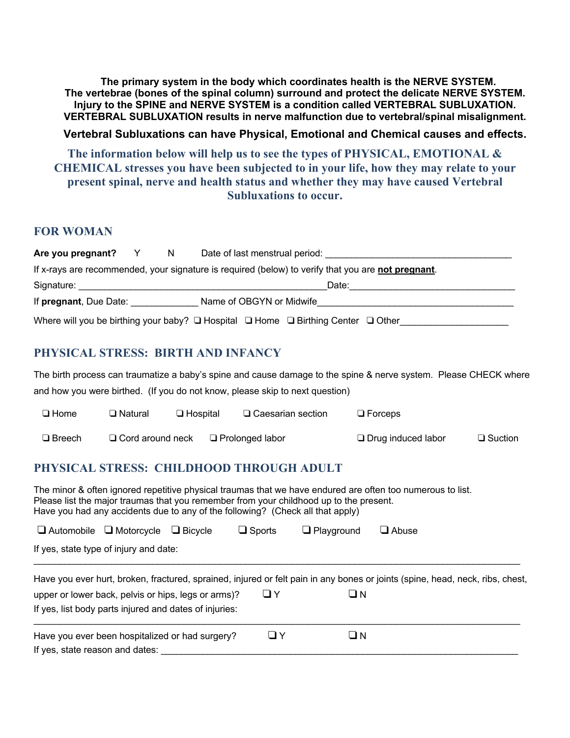**The primary system in the body which coordinates health is the NERVE SYSTEM. The vertebrae (bones of the spinal column) surround and protect the delicate NERVE SYSTEM. Injury to the SPINE and NERVE SYSTEM is a condition called VERTEBRAL SUBLUXATION. VERTEBRAL SUBLUXATION results in nerve malfunction due to vertebral/spinal misalignment.**

#### **Vertebral Subluxations can have Physical, Emotional and Chemical causes and effects.**

**The information below will help us to see the types of PHYSICAL, EMOTIONAL & CHEMICAL stresses you have been subjected to in your life, how they may relate to your present spinal, nerve and health status and whether they may have caused Vertebral Subluxations to occur.**

#### **FOR WOMAN**

| Are you pregnant? Y N  |  | Date of last menstrual period:                                                                                    |  |
|------------------------|--|-------------------------------------------------------------------------------------------------------------------|--|
|                        |  | If x-rays are recommended, your signature is required (below) to verify that you are not pregnant.                |  |
| Signature:             |  | Date:                                                                                                             |  |
| If pregnant, Due Date: |  | Name of OBGYN or Midwife                                                                                          |  |
|                        |  | Where will you be birthing your baby? $\square$ Hospital $\square$ Home $\square$ Birthing Center $\square$ Other |  |

## **PHYSICAL STRESS: BIRTH AND INFANCY**

The birth process can traumatize a baby's spine and cause damage to the spine & nerve system. Please CHECK where and how you were birthed. (If you do not know, please skip to next question)

| $\Box$ Home   | $\square$ Natural       | $\Box$ Hospital | □ Caesarian section    | $\Box$ Forceps       |                   |
|---------------|-------------------------|-----------------|------------------------|----------------------|-------------------|
| $\Box$ Breech | $\Box$ Cord around neck |                 | $\Box$ Prolonged labor | □ Drug induced labor | $\square$ Suction |

## **PHYSICAL STRESS: CHILDHOOD THROUGH ADULT**

The minor & often ignored repetitive physical traumas that we have endured are often too numerous to list. Please list the major traumas that you remember from your childhood up to the present. Have you had any accidents due to any of the following? (Check all that apply)

|                                        | $\Box$ Automobile $\Box$ Motorcycle | $\Box$ Bicycle                                         | $\Box$ Sports | $\Box$ Playground | $\Box$ Abuse |                                                                                                                               |
|----------------------------------------|-------------------------------------|--------------------------------------------------------|---------------|-------------------|--------------|-------------------------------------------------------------------------------------------------------------------------------|
| If yes, state type of injury and date: |                                     |                                                        |               |                   |              |                                                                                                                               |
|                                        |                                     |                                                        |               |                   |              | Have you ever hurt, broken, fractured, sprained, injured or felt pain in any bones or joints (spine, head, neck, ribs, chest, |
|                                        |                                     | upper or lower back, pelvis or hips, legs or arms)?    | UУ            | ON                |              |                                                                                                                               |
|                                        |                                     | If yes, list body parts injured and dates of injuries: |               |                   |              |                                                                                                                               |
|                                        |                                     | Have you ever been hospitalized or had surgery?        |               | UN                |              |                                                                                                                               |

If yes, state reason and dates: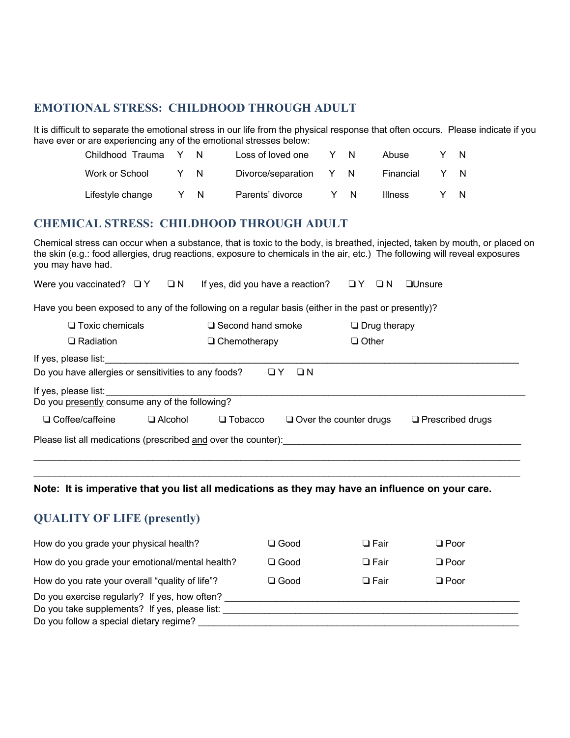#### **EMOTIONAL STRESS: CHILDHOOD THROUGH ADULT**

It is difficult to separate the emotional stress in our life from the physical response that often occurs. Please indicate if you have ever or are experiencing any of the emotional stresses below:

| Childhood Trauma |     | Loss of loved one      | Y |    | Abuse          |    | N. |
|------------------|-----|------------------------|---|----|----------------|----|----|
| Work or School   | Y N | Divorce/separation Y N |   |    | Financial      | Y. | N. |
| Lifestyle change | N   | Parents' divorce       |   | N. | <b>Illness</b> |    | N. |

#### **CHEMICAL STRESS: CHILDHOOD THROUGH ADULT**

Chemical stress can occur when a substance, that is toxic to the body, is breathed, injected, taken by mouth, or placed on the skin (e.g.: food allergies, drug reactions, exposure to chemicals in the air, etc.) The following will reveal exposures you may have had.

| Were you vaccinated? $\Box Y$ $\Box N$                         |                                                                                                     | If yes, did you have a reaction? $\Box Y$       |  |              | $\Box N$                | <b>QU</b> nsure |
|----------------------------------------------------------------|-----------------------------------------------------------------------------------------------------|-------------------------------------------------|--|--------------|-------------------------|-----------------|
|                                                                | Have you been exposed to any of the following on a regular basis (either in the past or presently)? |                                                 |  |              |                         |                 |
| $\Box$ Toxic chemicals                                         |                                                                                                     | $\Box$ Second hand smoke                        |  |              | $\Box$ Drug therapy     |                 |
| $\Box$ Radiation                                               |                                                                                                     | $\Box$ Chemotherapy                             |  | $\Box$ Other |                         |                 |
| If yes, please list:<br>If yes, please list:                   | Do you have allergies or sensitivities to any foods?<br>ON<br>u.                                    |                                                 |  |              |                         |                 |
|                                                                | Do you presently consume any of the following?                                                      |                                                 |  |              |                         |                 |
| $\Box$ Coffee/caffeine                                         | $\Box$ Alcohol                                                                                      | $\Box$ Tobacco<br>$\Box$ Over the counter drugs |  |              | $\Box$ Prescribed drugs |                 |
| Please list all medications (prescribed and over the counter): |                                                                                                     |                                                 |  |              |                         |                 |

#### **Note: It is imperative that you list all medications as they may have an influence on your care.**

 $\mathcal{L}_\mathcal{L} = \mathcal{L}_\mathcal{L} = \mathcal{L}_\mathcal{L} = \mathcal{L}_\mathcal{L} = \mathcal{L}_\mathcal{L} = \mathcal{L}_\mathcal{L} = \mathcal{L}_\mathcal{L} = \mathcal{L}_\mathcal{L} = \mathcal{L}_\mathcal{L} = \mathcal{L}_\mathcal{L} = \mathcal{L}_\mathcal{L} = \mathcal{L}_\mathcal{L} = \mathcal{L}_\mathcal{L} = \mathcal{L}_\mathcal{L} = \mathcal{L}_\mathcal{L} = \mathcal{L}_\mathcal{L} = \mathcal{L}_\mathcal{L}$ 

## **QUALITY OF LIFE (presently)**

| How do you grade your physical health?                                                                                                    | $\square$ Good | <b>⊒</b> Fair | $\Box$ Poor    |
|-------------------------------------------------------------------------------------------------------------------------------------------|----------------|---------------|----------------|
| How do you grade your emotional/mental health?                                                                                            | $\square$ Good | <b>⊒</b> Fair | $\Box$ Poor    |
| How do you rate your overall "quality of life"?                                                                                           | $\square$ Good | – Fair        | $\square$ Poor |
| Do you exercise regularly? If yes, how often?<br>Do you take supplements? If yes, please list:<br>Do you follow a special dietary regime? |                |               |                |